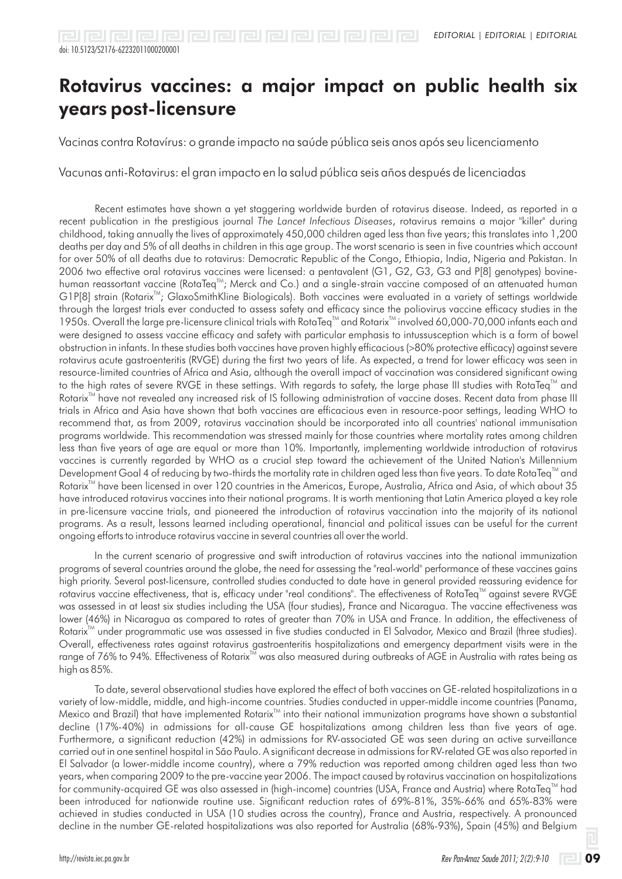Vacinas contra Rotavírus: o grande impacto na saúde pública seis anos após seu licenciamento

Vacunas anti-Rotavirus: el gran impacto en la salud pública seis años después de licenciadas

Recent estimates have shown a yet staggering worldwide burden of rotavirus disease. Indeed, as reported in a recent publication in the prestigious journal *The Lancet Infectious Diseases*, rotavirus remains a major "killer" during childhood, taking annually the lives of approximately 450,000 children aged less than five years; this translates into 1,200 deaths per day and 5% of all deaths in children in this age group. The worst scenario is seen in five countries which account for over 50% of all deaths due to rotavirus: Democratic Republic of the Congo, Ethiopia, India, Nigeria and Pakistan. In 2006 two effective oral rotavirus vaccines were licensed: a pentavalent (G1, G2, G3, G3 and P[8] genotypes) bovinehuman reassortant vaccine (RotaTeq<sup>™</sup>; Merck and Co.) and a single-strain vaccine composed of an attenuated human G1P[8] strain (Rotarix<sup>™</sup>; GlaxoSmithKline Biologicals). Both vaccines were evaluated in a variety of settings worldwide through the largest trials ever conducted to assess safety and efficacy since the poliovirus vaccine efficacy studies in the 1950s. Overall the large pre-licensure clinical trials with RotaTeq™ and Rotarix™ involved 60,000-70,000 infants each and were designed to assess vaccine efficacy and safety with particular emphasis to intussusception which is a form of bowel obstruction in infants. In these studies both vaccines have proven highly efficacious (>80% protective efficacy) against severe rotavirus acute gastroenteritis (RVGE) during the first two years of life. As expected, a trend for lower efficacy was seen in resource-limited countries of Africa and Asia, although the overall impact of vaccination was considered significant owing to the high rates of severe RVGE in these settings. With regards to safety, the large phase III studies with RotaTeq<sup> $m$ </sup> and Rotarix<sup>™</sup> have not revealed any increased risk of IS following administration of vaccine doses. Recent data from phase III trials in Africa and Asia have shown that both vaccines are efficacious even in resource-poor settings, leading WHO to recommend that, as from 2009, rotavirus vaccination should be incorporated into all countries' national immunisation programs worldwide. This recommendation was stressed mainly for those countries where mortality rates among children less than five years of age are equal or more than 10%. Importantly, implementing worldwide introduction of rotavirus vaccines is currently regarded by WHO as a crucial step toward the achievement of the United Nation's Millennium Development Goal 4 of reducing by two-thirds the mortality rate in children aged less than five years. To date RotaTeq<sup>™</sup> and Rotarix<sup>™</sup> have been licensed in over 120 countries in the Americas, Europe, Australia, Africa and Asia, of which about 35 have introduced rotavirus vaccines into their national programs. It is worth mentioning that Latin America played a key role in pre-licensure vaccine trials, and pioneered the introduction of rotavirus vaccination into the majority of its national programs. As a result, lessons learned including operational, financial and political issues can be useful for the current ongoing efforts to introduce rotavirus vaccine in several countries all over the world.

In the current scenario of progressive and swift introduction of rotavirus vaccines into the national immunization programs of several countries around the globe, the need for assessing the "real-world" performance of these vaccines gains high priority. Several post-licensure, controlled studies conducted to date have in general provided reassuring evidence for rotavirus vaccine effectiveness, that is, efficacy under "real conditions". The effectiveness of RotaTeq™ against severe RVGE was assessed in at least six studies including the USA (four studies), France and Nicaragua. The vaccine effectiveness was lower (46%) in Nicaragua as compared to rates of greater than 70% in USA and France. In addition, the effectiveness of Rotarix<sup>™</sup> under programmatic use was assessed in five studies conducted in El Salvador, Mexico and Brazil (three studies). Overall, effectiveness rates against rotavirus gastroenteritis hospitalizations and emergency department visits were in the range of 76% to 94%. Effectiveness of Rotarix™ was also measured during outbreaks of AGE in Australia with rates being as high as 85%.

To date, several observational studies have explored the effect of both vaccines on GE-related hospitalizations in a variety of low-middle, middle, and high-income countries. Studies conducted in upper-middle income countries (Panama, Mexico and Brazil) that have implemented Rotarix<sup>™</sup> into their national immunization programs have shown a substantial decline (17%-40%) in admissions for all-cause GE hospitalizations among children less than five years of age. Furthermore, a significant reduction (42%) in admissions for RV-associated GE was seen during an active surveillance carried out in one sentinel hospital in São Paulo. A significant decrease in admissions for RV-related GE was also reported in El Salvador (a lower-middle income country), where a 79% reduction was reported among children aged less than two years, when comparing 2009 to the pre-vaccine year 2006. The impact caused by rotavirus vaccination on hospitalizations for community-acquired GE was also assessed in (high-income) countries (USA, France and Austria) where RotaTeq™ had been introduced for nationwide routine use. Significant reduction rates of 69%-81%, 35%-66% and 65%-83% were achieved in studies conducted in USA (10 studies across the country), France and Austria, respectively. A pronounced decline in the number GE-related hospitalizations was also reported for Australia (68%-93%), Spain (45%) and Belgium